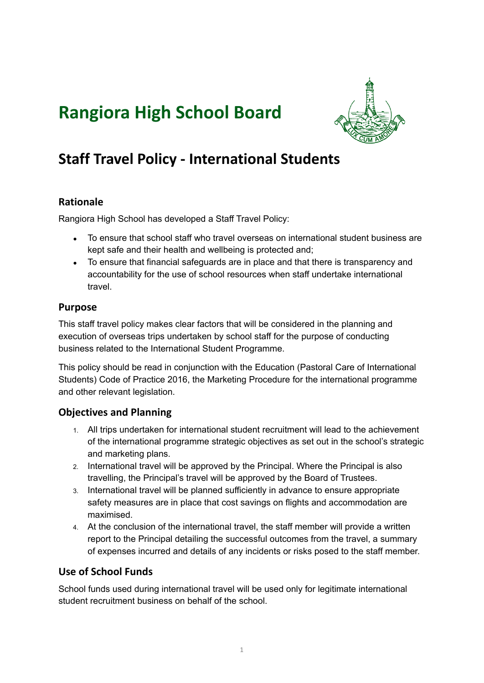# **Rangiora High School Board**



# **Staff Travel Policy - International Students**

# **Rationale**

Rangiora High School has developed a Staff Travel Policy:

- To ensure that school staff who travel overseas on international student business are kept safe and their health and wellbeing is protected and;
- To ensure that financial safeguards are in place and that there is transparency and accountability for the use of school resources when staff undertake international travel.

### **Purpose**

This staff travel policy makes clear factors that will be considered in the planning and execution of overseas trips undertaken by school staff for the purpose of conducting business related to the International Student Programme.

This policy should be read in conjunction with the Education (Pastoral Care of International Students) Code of Practice 2016, the Marketing Procedure for the international programme and other relevant legislation.

# **Objectives and Planning**

- 1. All trips undertaken for international student recruitment will lead to the achievement of the international programme strategic objectives as set out in the school's strategic and marketing plans.
- 2. International travel will be approved by the Principal. Where the Principal is also travelling, the Principal's travel will be approved by the Board of Trustees.
- 3. International travel will be planned sufficiently in advance to ensure appropriate safety measures are in place that cost savings on flights and accommodation are maximised.
- 4. At the conclusion of the international travel, the staff member will provide a written report to the Principal detailing the successful outcomes from the travel, a summary of expenses incurred and details of any incidents or risks posed to the staff member.

# **Use of School Funds**

School funds used during international travel will be used only for legitimate international student recruitment business on behalf of the school.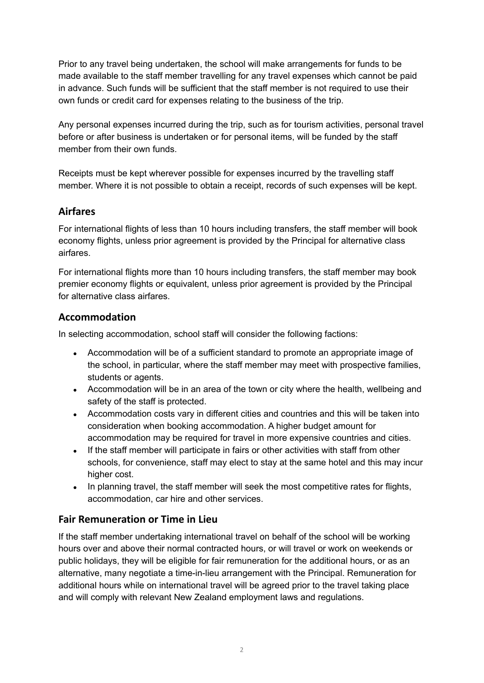Prior to any travel being undertaken, the school will make arrangements for funds to be made available to the staff member travelling for any travel expenses which cannot be paid in advance. Such funds will be sufficient that the staff member is not required to use their own funds or credit card for expenses relating to the business of the trip.

Any personal expenses incurred during the trip, such as for tourism activities, personal travel before or after business is undertaken or for personal items, will be funded by the staff member from their own funds.

Receipts must be kept wherever possible for expenses incurred by the travelling staff member. Where it is not possible to obtain a receipt, records of such expenses will be kept.

### **Airfares**

For international flights of less than 10 hours including transfers, the staff member will book economy flights, unless prior agreement is provided by the Principal for alternative class airfares.

For international flights more than 10 hours including transfers, the staff member may book premier economy flights or equivalent, unless prior agreement is provided by the Principal for alternative class airfares.

# **Accommodation**

In selecting accommodation, school staff will consider the following factions:

- Accommodation will be of a sufficient standard to promote an appropriate image of the school, in particular, where the staff member may meet with prospective families, students or agents.
- Accommodation will be in an area of the town or city where the health, wellbeing and safety of the staff is protected.
- Accommodation costs vary in different cities and countries and this will be taken into consideration when booking accommodation. A higher budget amount for accommodation may be required for travel in more expensive countries and cities.
- If the staff member will participate in fairs or other activities with staff from other schools, for convenience, staff may elect to stay at the same hotel and this may incur higher cost.
- In planning travel, the staff member will seek the most competitive rates for flights, accommodation, car hire and other services.

### **Fair Remuneration or Time in Lieu**

If the staff member undertaking international travel on behalf of the school will be working hours over and above their normal contracted hours, or will travel or work on weekends or public holidays, they will be eligible for fair remuneration for the additional hours, or as an alternative, many negotiate a time-in-lieu arrangement with the Principal. Remuneration for additional hours while on international travel will be agreed prior to the travel taking place and will comply with relevant New Zealand employment laws and regulations.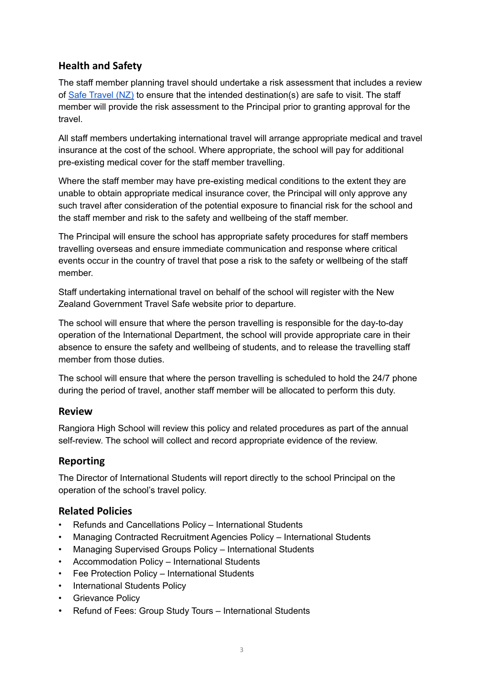# **Health and Safety**

The staff member planning travel should undertake a risk assessment that includes a review of Safe [Travel](http://safetravel.govt.nz/) (NZ) to ensure that the intended destination(s) are safe to visit. The staff member will provide the risk assessment to the Principal prior to granting approval for the travel.

All staff members undertaking international travel will arrange appropriate medical and travel insurance at the cost of the school. Where appropriate, the school will pay for additional pre-existing medical cover for the staff member travelling.

Where the staff member may have pre-existing medical conditions to the extent they are unable to obtain appropriate medical insurance cover, the Principal will only approve any such travel after consideration of the potential exposure to financial risk for the school and the staff member and risk to the safety and wellbeing of the staff member.

The Principal will ensure the school has appropriate safety procedures for staff members travelling overseas and ensure immediate communication and response where critical events occur in the country of travel that pose a risk to the safety or wellbeing of the staff member.

Staff undertaking international travel on behalf of the school will register with the New Zealand Government Travel Safe website prior to departure.

The school will ensure that where the person travelling is responsible for the day-to-day operation of the International Department, the school will provide appropriate care in their absence to ensure the safety and wellbeing of students, and to release the travelling staff member from those duties.

The school will ensure that where the person travelling is scheduled to hold the 24/7 phone during the period of travel, another staff member will be allocated to perform this duty.

#### **Review**

Rangiora High School will review this policy and related procedures as part of the annual self-review. The school will collect and record appropriate evidence of the review.

### **Reporting**

The Director of International Students will report directly to the school Principal on the operation of the school's travel policy.

### **Related Policies**

- Refunds and Cancellations Policy International Students
- Managing Contracted Recruitment Agencies Policy International Students
- Managing Supervised Groups Policy International Students
- Accommodation Policy International Students
- Fee Protection Policy International Students
- International Students Policy
- Grievance Policy
- Refund of Fees: Group Study Tours International Students